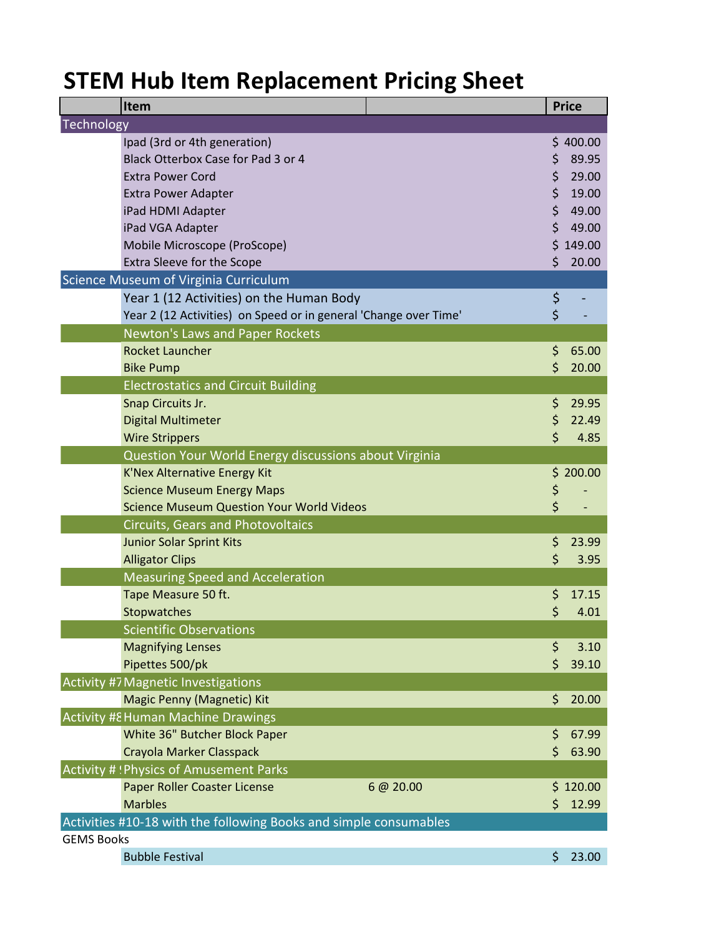## **STEM Hub Item Replacement Pricing Sheet**

| Item                                                              |           | <b>Price</b> |
|-------------------------------------------------------------------|-----------|--------------|
| Technology                                                        |           |              |
| Ipad (3rd or 4th generation)                                      |           | \$400.00     |
| Black Otterbox Case for Pad 3 or 4                                | \$        | 89.95        |
| <b>Extra Power Cord</b>                                           | \$        | 29.00        |
| <b>Extra Power Adapter</b>                                        | \$        | 19.00        |
| iPad HDMI Adapter                                                 | \$        | 49.00        |
| iPad VGA Adapter                                                  | \$        | 49.00        |
| Mobile Microscope (ProScope)                                      |           | \$149.00     |
| Extra Sleeve for the Scope                                        | Ś         | 20.00        |
| Science Museum of Virginia Curriculum                             |           |              |
| Year 1 (12 Activities) on the Human Body                          | \$        |              |
| Year 2 (12 Activities) on Speed or in general 'Change over Time'  | \$        |              |
| Newton's Laws and Paper Rockets                                   |           |              |
| <b>Rocket Launcher</b>                                            | \$        | 65.00        |
| <b>Bike Pump</b>                                                  | $\zeta$   | 20.00        |
| <b>Electrostatics and Circuit Building</b>                        |           |              |
| Snap Circuits Jr.                                                 | \$        | 29.95        |
| <b>Digital Multimeter</b>                                         | \$        | 22.49        |
| <b>Wire Strippers</b>                                             | \$        | 4.85         |
| Question Your World Energy discussions about Virginia             |           |              |
| <b>K'Nex Alternative Energy Kit</b>                               |           | \$200.00     |
| <b>Science Museum Energy Maps</b>                                 | \$        |              |
| <b>Science Museum Question Your World Videos</b>                  | \$        |              |
| <b>Circuits, Gears and Photovoltaics</b>                          |           |              |
| <b>Junior Solar Sprint Kits</b>                                   | \$        | 23.99        |
| <b>Alligator Clips</b>                                            | \$        | 3.95         |
| <b>Measuring Speed and Acceleration</b>                           |           |              |
| Tape Measure 50 ft.                                               | \$        | 17.15        |
| Stopwatches                                                       | \$        | 4.01         |
| <b>Scientific Observations</b>                                    |           |              |
| <b>Magnifying Lenses</b>                                          | \$        | 3.10         |
| Pipettes 500/pk                                                   | \$        | 39.10        |
| <b>Activity #7 Magnetic Investigations</b>                        |           |              |
| <b>Magic Penny (Magnetic) Kit</b>                                 | \$        | 20.00        |
| <b>Activity #8 Human Machine Drawings</b>                         |           |              |
| White 36" Butcher Block Paper                                     | \$        | 67.99        |
| Crayola Marker Classpack                                          | \$        | 63.90        |
| Activity #! Physics of Amusement Parks                            |           |              |
| Paper Roller Coaster License                                      | 6 @ 20.00 | \$120.00     |
| <b>Marbles</b>                                                    | \$        | 12.99        |
| Activities #10-18 with the following Books and simple consumables |           |              |
| <b>GEMS Books</b>                                                 |           |              |
| <b>Bubble Festival</b>                                            | \$        | 23.00        |